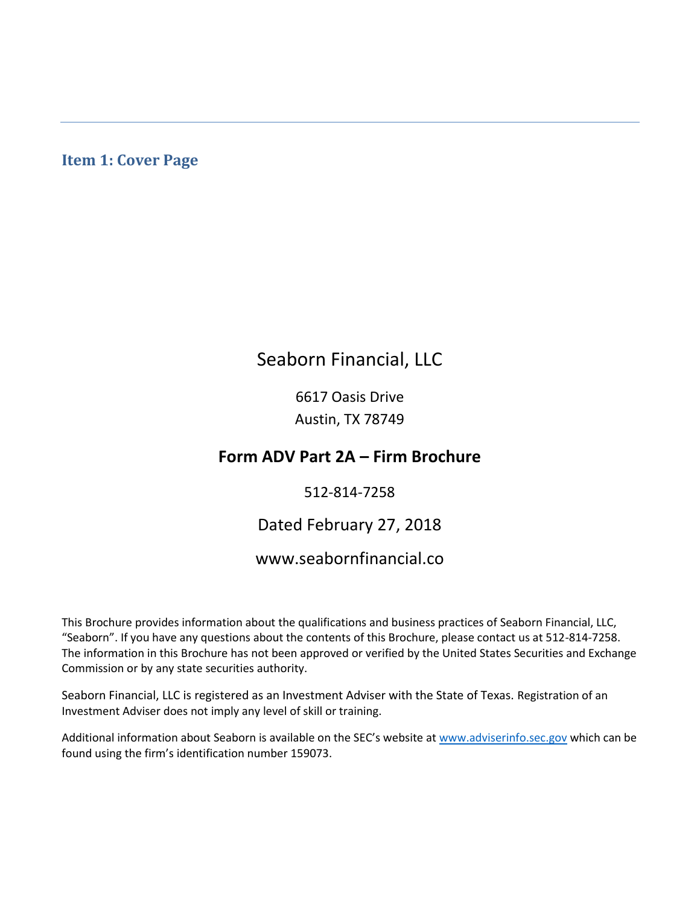# **Item 1: Cover Page**

# Seaborn Financial, LLC

6617 Oasis Drive Austin, TX 78749

# **Form ADV Part 2A – Firm Brochure**

## 512-814-7258

# Dated February 27, 2018

# www.seabornfinancial.co

This Brochure provides information about the qualifications and business practices of Seaborn Financial, LLC, "Seaborn". If you have any questions about the contents of this Brochure, please contact us at 512-814-7258. The information in this Brochure has not been approved or verified by the United States Securities and Exchange Commission or by any state securities authority.

Seaborn Financial, LLC is registered as an Investment Adviser with the State of Texas. Registration of an Investment Adviser does not imply any level of skill or training.

Additional information about Seaborn is available on the SEC's website at [www.adviserinfo.sec.gov](http://www.adviserinfo.sec.gov/) which can be found using the firm's identification number 159073.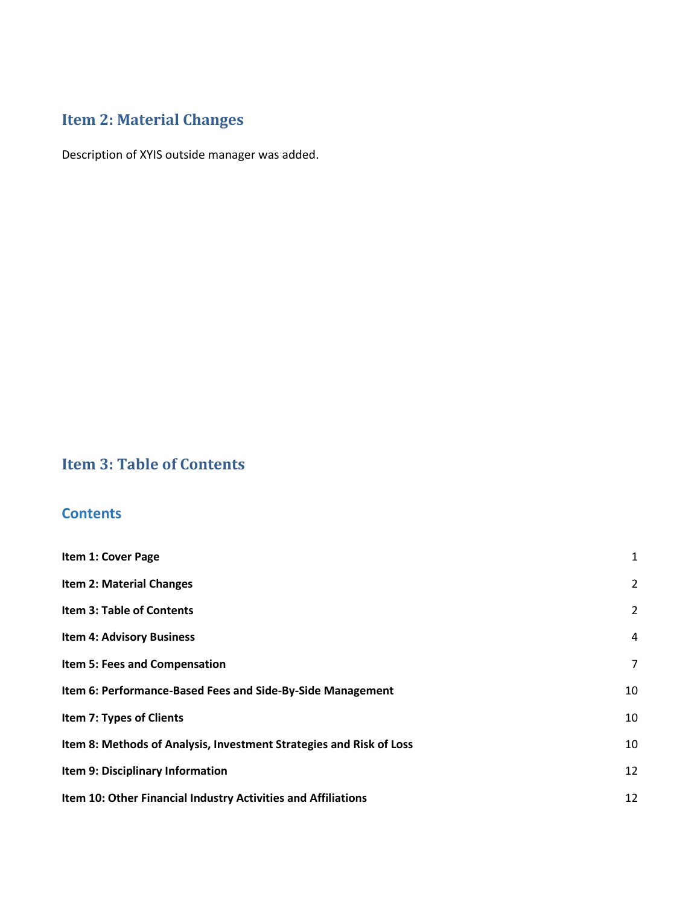# **Item 2: Material Changes**

Description of XYIS outside manager was added.

# **Item 3: Table of Contents**

# **Contents**

| Item 1: Cover Page                                                  | 1              |
|---------------------------------------------------------------------|----------------|
| <b>Item 2: Material Changes</b>                                     | $\overline{2}$ |
| <b>Item 3: Table of Contents</b>                                    | $\overline{2}$ |
| <b>Item 4: Advisory Business</b>                                    | $\overline{4}$ |
| Item 5: Fees and Compensation                                       | 7              |
| Item 6: Performance-Based Fees and Side-By-Side Management          | 10             |
| Item 7: Types of Clients                                            | 10             |
| Item 8: Methods of Analysis, Investment Strategies and Risk of Loss | 10             |
| Item 9: Disciplinary Information                                    | 12             |
| Item 10: Other Financial Industry Activities and Affiliations       | 12             |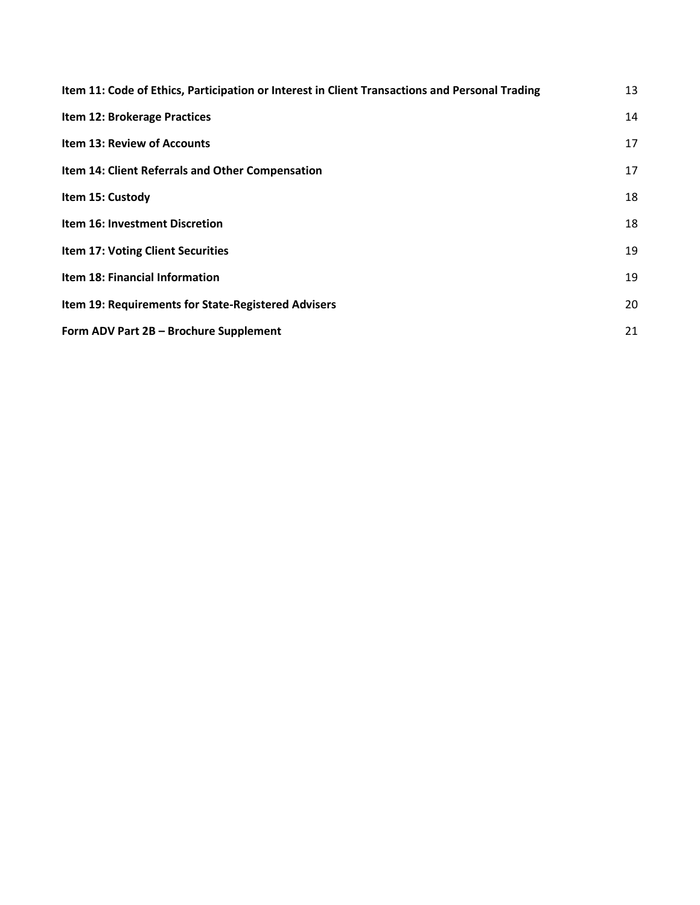| Item 11: Code of Ethics, Participation or Interest in Client Transactions and Personal Trading | 13 |
|------------------------------------------------------------------------------------------------|----|
| Item 12: Brokerage Practices                                                                   | 14 |
| <b>Item 13: Review of Accounts</b>                                                             | 17 |
| Item 14: Client Referrals and Other Compensation                                               | 17 |
| Item 15: Custody                                                                               | 18 |
| <b>Item 16: Investment Discretion</b>                                                          | 18 |
| <b>Item 17: Voting Client Securities</b>                                                       | 19 |
| Item 18: Financial Information                                                                 | 19 |
| Item 19: Requirements for State-Registered Advisers                                            | 20 |
| Form ADV Part 2B - Brochure Supplement                                                         | 21 |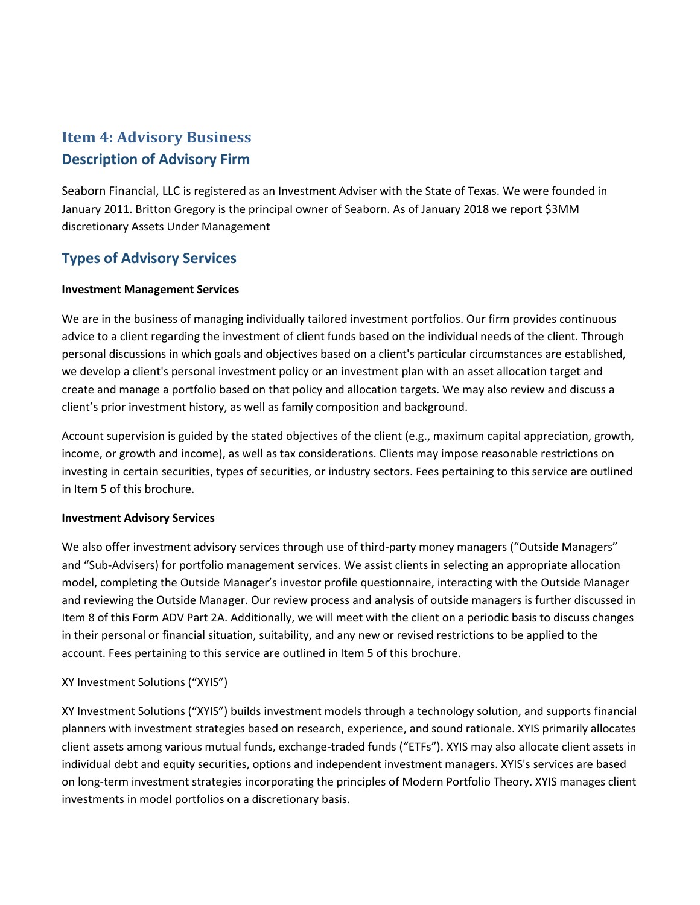# **Item 4: Advisory Business Description of Advisory Firm**

Seaborn Financial, LLC is registered as an Investment Adviser with the State of Texas. We were founded in January 2011. Britton Gregory is the principal owner of Seaborn. As of January 2018 we report \$3MM discretionary Assets Under Management

# **Types of Advisory Services**

#### **Investment Management Services**

We are in the business of managing individually tailored investment portfolios. Our firm provides continuous advice to a client regarding the investment of client funds based on the individual needs of the client. Through personal discussions in which goals and objectives based on a client's particular circumstances are established, we develop a client's personal investment policy or an investment plan with an asset allocation target and create and manage a portfolio based on that policy and allocation targets. We may also review and discuss a client's prior investment history, as well as family composition and background.

Account supervision is guided by the stated objectives of the client (e.g., maximum capital appreciation, growth, income, or growth and income), as well as tax considerations. Clients may impose reasonable restrictions on investing in certain securities, types of securities, or industry sectors. Fees pertaining to this service are outlined in Item 5 of this brochure.

#### **Investment Advisory Services**

We also offer investment advisory services through use of third-party money managers ("Outside Managers" and "Sub-Advisers) for portfolio management services. We assist clients in selecting an appropriate allocation model, completing the Outside Manager's investor profile questionnaire, interacting with the Outside Manager and reviewing the Outside Manager. Our review process and analysis of outside managers is further discussed in Item 8 of this Form ADV Part 2A. Additionally, we will meet with the client on a periodic basis to discuss changes in their personal or financial situation, suitability, and any new or revised restrictions to be applied to the account. Fees pertaining to this service are outlined in Item 5 of this brochure.

#### XY Investment Solutions ("XYIS")

XY Investment Solutions ("XYIS") builds investment models through a technology solution, and supports financial planners with investment strategies based on research, experience, and sound rationale. XYIS primarily allocates client assets among various mutual funds, exchange-traded funds ("ETFs"). XYIS may also allocate client assets in individual debt and equity securities, options and independent investment managers. XYIS's services are based on long-term investment strategies incorporating the principles of Modern Portfolio Theory. XYIS manages client investments in model portfolios on a discretionary basis.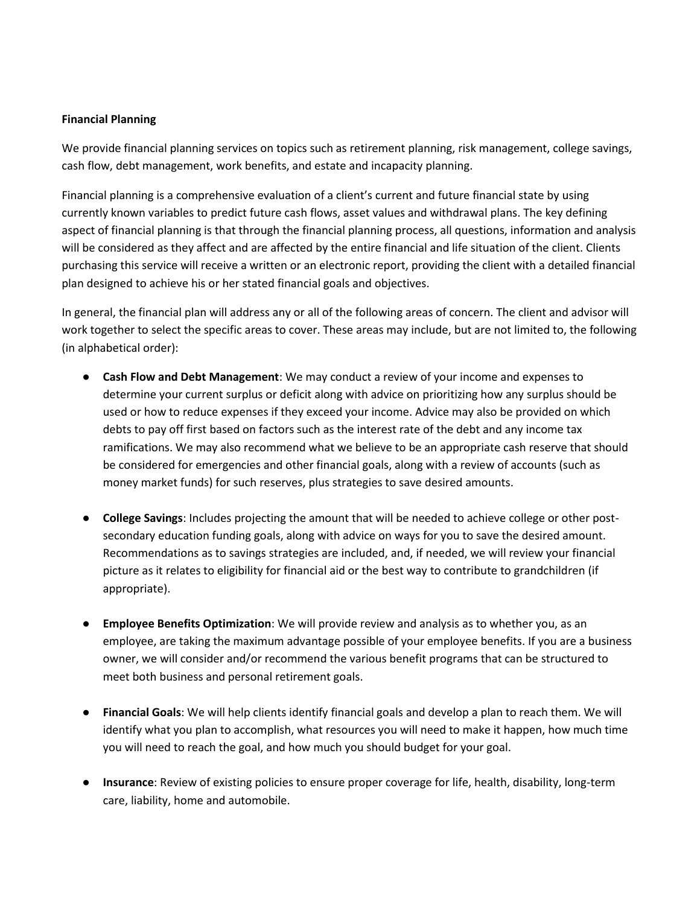#### **Financial Planning**

We provide financial planning services on topics such as retirement planning, risk management, college savings, cash flow, debt management, work benefits, and estate and incapacity planning.

Financial planning is a comprehensive evaluation of a client's current and future financial state by using currently known variables to predict future cash flows, asset values and withdrawal plans. The key defining aspect of financial planning is that through the financial planning process, all questions, information and analysis will be considered as they affect and are affected by the entire financial and life situation of the client. Clients purchasing this service will receive a written or an electronic report, providing the client with a detailed financial plan designed to achieve his or her stated financial goals and objectives.

In general, the financial plan will address any or all of the following areas of concern. The client and advisor will work together to select the specific areas to cover. These areas may include, but are not limited to, the following (in alphabetical order):

- **Cash Flow and Debt Management**: We may conduct a review of your income and expenses to determine your current surplus or deficit along with advice on prioritizing how any surplus should be used or how to reduce expenses if they exceed your income. Advice may also be provided on which debts to pay off first based on factors such as the interest rate of the debt and any income tax ramifications. We may also recommend what we believe to be an appropriate cash reserve that should be considered for emergencies and other financial goals, along with a review of accounts (such as money market funds) for such reserves, plus strategies to save desired amounts.
- **College Savings**: Includes projecting the amount that will be needed to achieve college or other postsecondary education funding goals, along with advice on ways for you to save the desired amount. Recommendations as to savings strategies are included, and, if needed, we will review your financial picture as it relates to eligibility for financial aid or the best way to contribute to grandchildren (if appropriate).
- **Employee Benefits Optimization**: We will provide review and analysis as to whether you, as an employee, are taking the maximum advantage possible of your employee benefits. If you are a business owner, we will consider and/or recommend the various benefit programs that can be structured to meet both business and personal retirement goals.
- **Financial Goals**: We will help clients identify financial goals and develop a plan to reach them. We will identify what you plan to accomplish, what resources you will need to make it happen, how much time you will need to reach the goal, and how much you should budget for your goal.
- **Insurance**: Review of existing policies to ensure proper coverage for life, health, disability, long-term care, liability, home and automobile.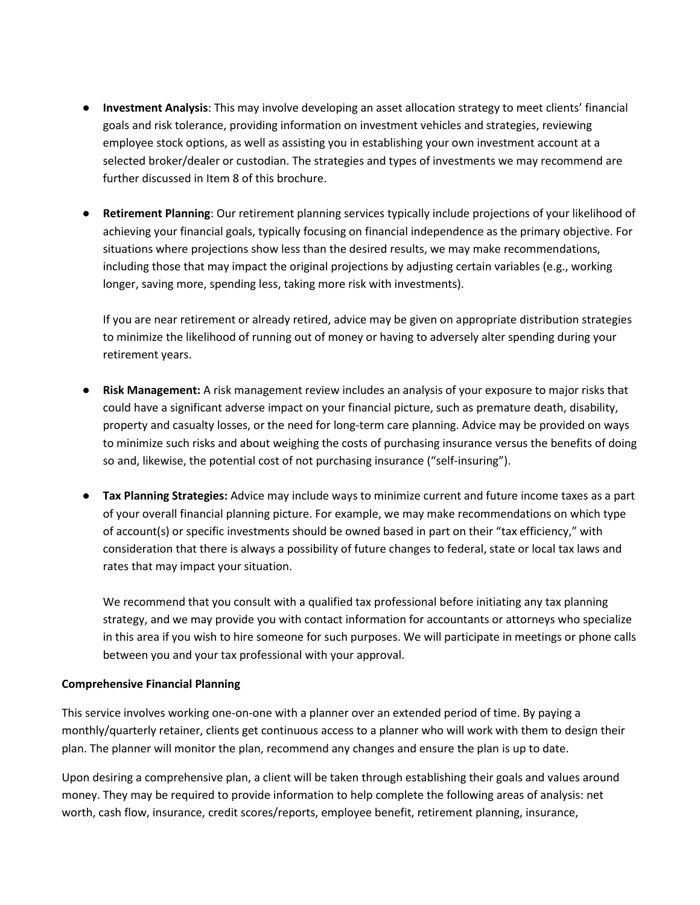- **Investment Analysis**: This may involve developing an asset allocation strategy to meet clients' financial goals and risk tolerance, providing information on investment vehicles and strategies, reviewing employee stock options, as well as assisting you in establishing your own investment account at a selected broker/dealer or custodian. The strategies and types of investments we may recommend are further discussed in Item 8 of this brochure.
- **Retirement Planning**: Our retirement planning services typically include projections of your likelihood of achieving your financial goals, typically focusing on financial independence as the primary objective. For situations where projections show less than the desired results, we may make recommendations, including those that may impact the original projections by adjusting certain variables (e.g., working longer, saving more, spending less, taking more risk with investments).

If you are near retirement or already retired, advice may be given on appropriate distribution strategies to minimize the likelihood of running out of money or having to adversely alter spending during your retirement years.

- **Risk Management:** A risk management review includes an analysis of your exposure to major risks that could have a significant adverse impact on your financial picture, such as premature death, disability, property and casualty losses, or the need for long‐term care planning. Advice may be provided on ways to minimize such risks and about weighing the costs of purchasing insurance versus the benefits of doing so and, likewise, the potential cost of not purchasing insurance ("self‐insuring").
- **Tax Planning Strategies:** Advice may include ways to minimize current and future income taxes as a part of your overall financial planning picture. For example, we may make recommendations on which type of account(s) or specific investments should be owned based in part on their "tax efficiency," with consideration that there is always a possibility of future changes to federal, state or local tax laws and rates that may impact your situation.

We recommend that you consult with a qualified tax professional before initiating any tax planning strategy, and we may provide you with contact information for accountants or attorneys who specialize in this area if you wish to hire someone for such purposes. We will participate in meetings or phone calls between you and your tax professional with your approval.

#### **Comprehensive Financial Planning**

This service involves working one-on-one with a planner over an extended period of time. By paying a monthly/quarterly retainer, clients get continuous access to a planner who will work with them to design their plan. The planner will monitor the plan, recommend any changes and ensure the plan is up to date.

Upon desiring a comprehensive plan, a client will be taken through establishing their goals and values around money. They may be required to provide information to help complete the following areas of analysis: net worth, cash flow, insurance, credit scores/reports, employee benefit, retirement planning, insurance,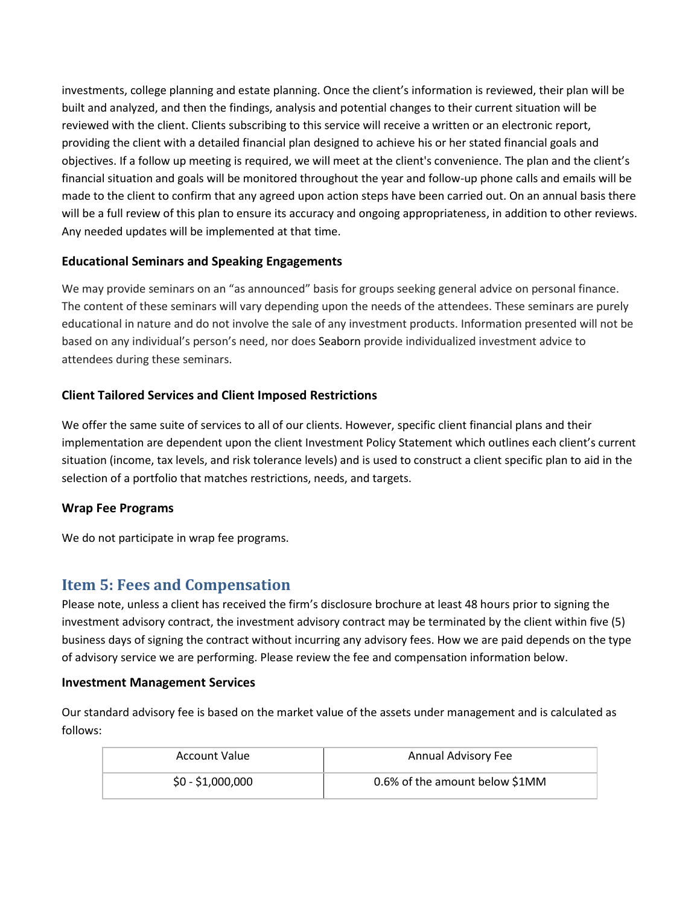investments, college planning and estate planning. Once the client's information is reviewed, their plan will be built and analyzed, and then the findings, analysis and potential changes to their current situation will be reviewed with the client. Clients subscribing to this service will receive a written or an electronic report, providing the client with a detailed financial plan designed to achieve his or her stated financial goals and objectives. If a follow up meeting is required, we will meet at the client's convenience. The plan and the client's financial situation and goals will be monitored throughout the year and follow-up phone calls and emails will be made to the client to confirm that any agreed upon action steps have been carried out. On an annual basis there will be a full review of this plan to ensure its accuracy and ongoing appropriateness, in addition to other reviews. Any needed updates will be implemented at that time.

#### **Educational Seminars and Speaking Engagements**

We may provide seminars on an "as announced" basis for groups seeking general advice on personal finance. The content of these seminars will vary depending upon the needs of the attendees. These seminars are purely educational in nature and do not involve the sale of any investment products. Information presented will not be based on any individual's person's need, nor does Seaborn provide individualized investment advice to attendees during these seminars.

#### **Client Tailored Services and Client Imposed Restrictions**

We offer the same suite of services to all of our clients. However, specific client financial plans and their implementation are dependent upon the client Investment Policy Statement which outlines each client's current situation (income, tax levels, and risk tolerance levels) and is used to construct a client specific plan to aid in the selection of a portfolio that matches restrictions, needs, and targets.

#### **Wrap Fee Programs**

We do not participate in wrap fee programs.

# **Item 5: Fees and Compensation**

Please note, unless a client has received the firm's disclosure brochure at least 48 hours prior to signing the investment advisory contract, the investment advisory contract may be terminated by the client within five (5) business days of signing the contract without incurring any advisory fees. How we are paid depends on the type of advisory service we are performing. Please review the fee and compensation information below.

#### **Investment Management Services**

Our standard advisory fee is based on the market value of the assets under management and is calculated as follows:

| <b>Account Value</b> | Annual Advisory Fee            |
|----------------------|--------------------------------|
| $$0 - $1,000,000$    | 0.6% of the amount below \$1MM |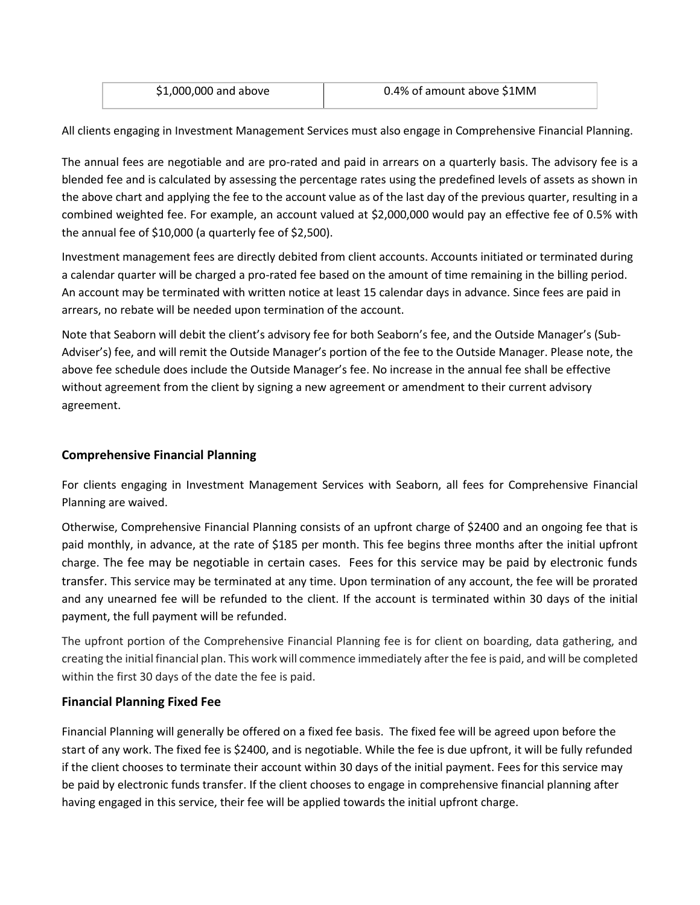| \$1,000,000 and above | 0.4% of amount above \$1MM |
|-----------------------|----------------------------|
|                       |                            |

All clients engaging in Investment Management Services must also engage in Comprehensive Financial Planning.

The annual fees are negotiable and are pro-rated and paid in arrears on a quarterly basis. The advisory fee is a blended fee and is calculated by assessing the percentage rates using the predefined levels of assets as shown in the above chart and applying the fee to the account value as of the last day of the previous quarter, resulting in a combined weighted fee. For example, an account valued at \$2,000,000 would pay an effective fee of 0.5% with the annual fee of \$10,000 (a quarterly fee of \$2,500).

Investment management fees are directly debited from client accounts. Accounts initiated or terminated during a calendar quarter will be charged a pro-rated fee based on the amount of time remaining in the billing period. An account may be terminated with written notice at least 15 calendar days in advance. Since fees are paid in arrears, no rebate will be needed upon termination of the account.

Note that Seaborn will debit the client's advisory fee for both Seaborn's fee, and the Outside Manager's (Sub-Adviser's) fee, and will remit the Outside Manager's portion of the fee to the Outside Manager. Please note, the above fee schedule does include the Outside Manager's fee. No increase in the annual fee shall be effective without agreement from the client by signing a new agreement or amendment to their current advisory agreement.

#### **Comprehensive Financial Planning**

For clients engaging in Investment Management Services with Seaborn, all fees for Comprehensive Financial Planning are waived.

Otherwise, Comprehensive Financial Planning consists of an upfront charge of \$2400 and an ongoing fee that is paid monthly, in advance, at the rate of \$185 per month. This fee begins three months after the initial upfront charge. The fee may be negotiable in certain cases. Fees for this service may be paid by electronic funds transfer. This service may be terminated at any time. Upon termination of any account, the fee will be prorated and any unearned fee will be refunded to the client. If the account is terminated within 30 days of the initial payment, the full payment will be refunded.

The upfront portion of the Comprehensive Financial Planning fee is for client on boarding, data gathering, and creating the initial financial plan. This work will commence immediately after the fee is paid, and will be completed within the first 30 days of the date the fee is paid.

#### **Financial Planning Fixed Fee**

Financial Planning will generally be offered on a fixed fee basis. The fixed fee will be agreed upon before the start of any work. The fixed fee is \$2400, and is negotiable. While the fee is due upfront, it will be fully refunded if the client chooses to terminate their account within 30 days of the initial payment. Fees for this service may be paid by electronic funds transfer. If the client chooses to engage in comprehensive financial planning after having engaged in this service, their fee will be applied towards the initial upfront charge.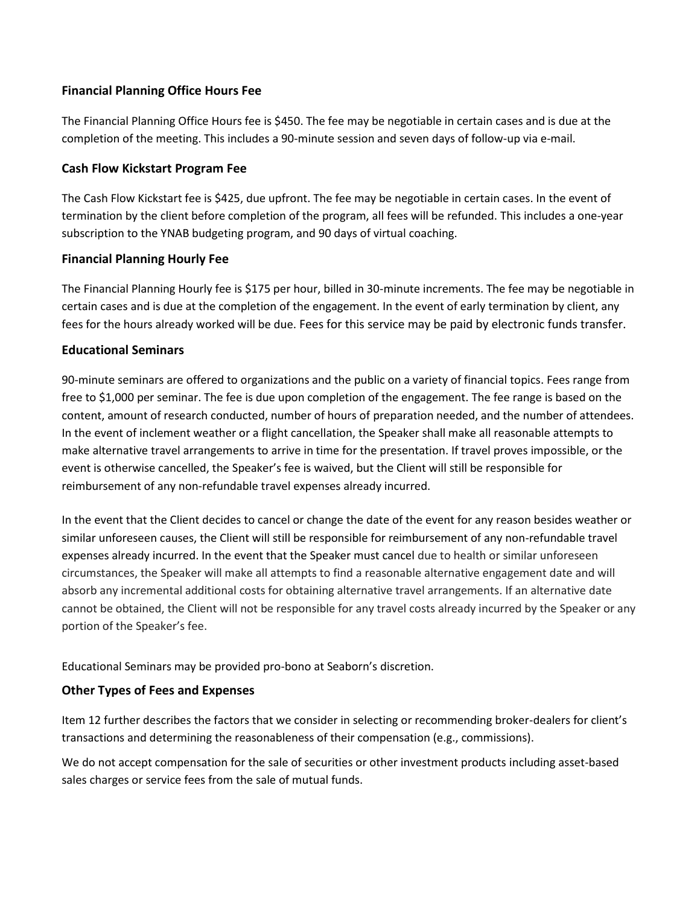#### **Financial Planning Office Hours Fee**

The Financial Planning Office Hours fee is \$450. The fee may be negotiable in certain cases and is due at the completion of the meeting. This includes a 90-minute session and seven days of follow-up via e-mail.

#### **Cash Flow Kickstart Program Fee**

The Cash Flow Kickstart fee is \$425, due upfront. The fee may be negotiable in certain cases. In the event of termination by the client before completion of the program, all fees will be refunded. This includes a one-year subscription to the YNAB budgeting program, and 90 days of virtual coaching.

#### **Financial Planning Hourly Fee**

The Financial Planning Hourly fee is \$175 per hour, billed in 30-minute increments. The fee may be negotiable in certain cases and is due at the completion of the engagement. In the event of early termination by client, any fees for the hours already worked will be due. Fees for this service may be paid by electronic funds transfer.

#### **Educational Seminars**

90-minute seminars are offered to organizations and the public on a variety of financial topics. Fees range from free to \$1,000 per seminar. The fee is due upon completion of the engagement. The fee range is based on the content, amount of research conducted, number of hours of preparation needed, and the number of attendees. In the event of inclement weather or a flight cancellation, the Speaker shall make all reasonable attempts to make alternative travel arrangements to arrive in time for the presentation. If travel proves impossible, or the event is otherwise cancelled, the Speaker's fee is waived, but the Client will still be responsible for reimbursement of any non-refundable travel expenses already incurred.

In the event that the Client decides to cancel or change the date of the event for any reason besides weather or similar unforeseen causes, the Client will still be responsible for reimbursement of any non-refundable travel expenses already incurred. In the event that the Speaker must cancel due to health or similar unforeseen circumstances, the Speaker will make all attempts to find a reasonable alternative engagement date and will absorb any incremental additional costs for obtaining alternative travel arrangements. If an alternative date cannot be obtained, the Client will not be responsible for any travel costs already incurred by the Speaker or any portion of the Speaker's fee.

Educational Seminars may be provided pro-bono at Seaborn's discretion.

#### **Other Types of Fees and Expenses**

Item 12 further describes the factors that we consider in selecting or recommending broker-dealers for client's transactions and determining the reasonableness of their compensation (e.g., commissions).

We do not accept compensation for the sale of securities or other investment products including asset-based sales charges or service fees from the sale of mutual funds.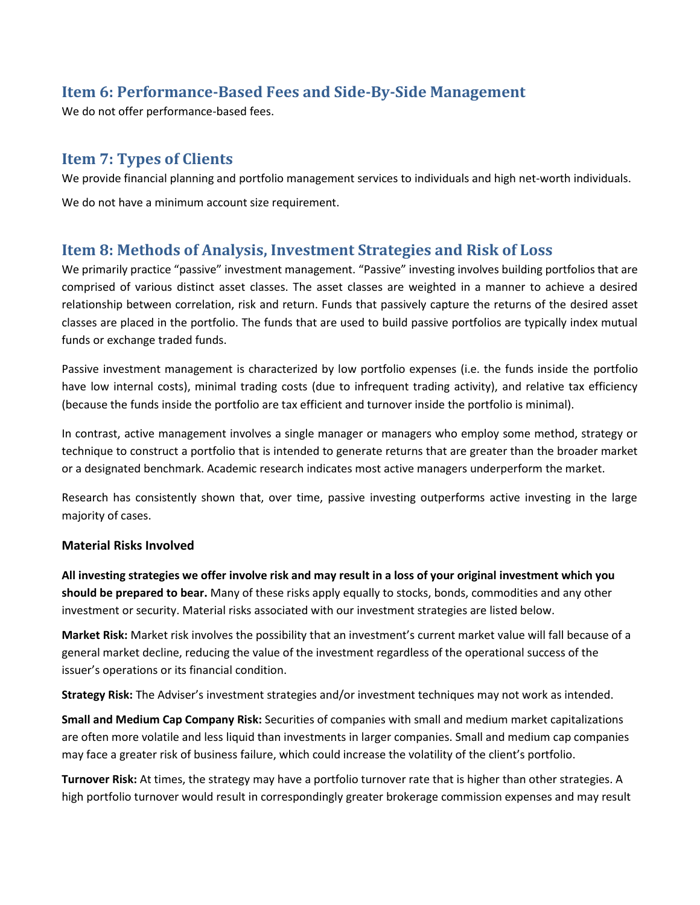# **Item 6: Performance-Based Fees and Side-By-Side Management**

We do not offer performance-based fees.

# **Item 7: Types of Clients**

We provide financial planning and portfolio management services to individuals and high net-worth individuals.

We do not have a minimum account size requirement.

# **Item 8: Methods of Analysis, Investment Strategies and Risk of Loss**

We primarily practice "passive" investment management. "Passive" investing involves building portfolios that are comprised of various distinct asset classes. The asset classes are weighted in a manner to achieve a desired relationship between correlation, risk and return. Funds that passively capture the returns of the desired asset classes are placed in the portfolio. The funds that are used to build passive portfolios are typically index mutual funds or exchange traded funds.

Passive investment management is characterized by low portfolio expenses (i.e. the funds inside the portfolio have low internal costs), minimal trading costs (due to infrequent trading activity), and relative tax efficiency (because the funds inside the portfolio are tax efficient and turnover inside the portfolio is minimal).

In contrast, active management involves a single manager or managers who employ some method, strategy or technique to construct a portfolio that is intended to generate returns that are greater than the broader market or a designated benchmark. Academic research indicates most active managers underperform the market.

Research has consistently shown that, over time, passive investing outperforms active investing in the large majority of cases.

#### **Material Risks Involved**

**All investing strategies we offer involve risk and may result in a loss of your original investment which you should be prepared to bear.** Many of these risks apply equally to stocks, bonds, commodities and any other investment or security. Material risks associated with our investment strategies are listed below.

**Market Risk:** Market risk involves the possibility that an investment's current market value will fall because of a general market decline, reducing the value of the investment regardless of the operational success of the issuer's operations or its financial condition.

**Strategy Risk:** The Adviser's investment strategies and/or investment techniques may not work as intended.

**Small and Medium Cap Company Risk:** Securities of companies with small and medium market capitalizations are often more volatile and less liquid than investments in larger companies. Small and medium cap companies may face a greater risk of business failure, which could increase the volatility of the client's portfolio.

**Turnover Risk:** At times, the strategy may have a portfolio turnover rate that is higher than other strategies. A high portfolio turnover would result in correspondingly greater brokerage commission expenses and may result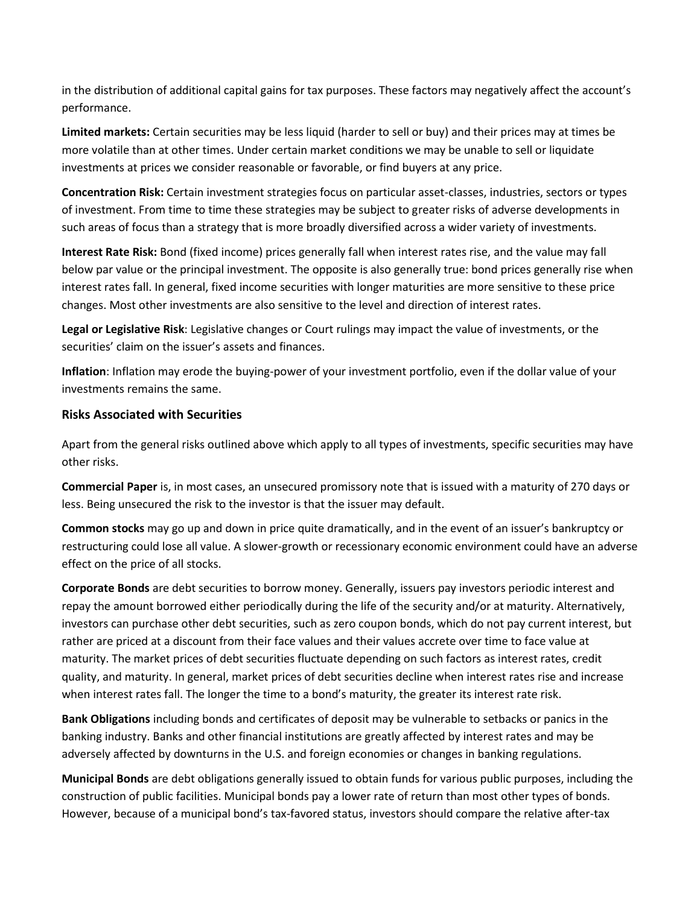in the distribution of additional capital gains for tax purposes. These factors may negatively affect the account's performance.

**Limited markets:** Certain securities may be less liquid (harder to sell or buy) and their prices may at times be more volatile than at other times. Under certain market conditions we may be unable to sell or liquidate investments at prices we consider reasonable or favorable, or find buyers at any price.

**Concentration Risk:** Certain investment strategies focus on particular asset-classes, industries, sectors or types of investment. From time to time these strategies may be subject to greater risks of adverse developments in such areas of focus than a strategy that is more broadly diversified across a wider variety of investments.

**Interest Rate Risk:** Bond (fixed income) prices generally fall when interest rates rise, and the value may fall below par value or the principal investment. The opposite is also generally true: bond prices generally rise when interest rates fall. In general, fixed income securities with longer maturities are more sensitive to these price changes. Most other investments are also sensitive to the level and direction of interest rates.

**Legal or Legislative Risk**: Legislative changes or Court rulings may impact the value of investments, or the securities' claim on the issuer's assets and finances.

**Inflation**: Inflation may erode the buying-power of your investment portfolio, even if the dollar value of your investments remains the same.

#### **Risks Associated with Securities**

Apart from the general risks outlined above which apply to all types of investments, specific securities may have other risks.

**Commercial Paper** is, in most cases, an unsecured promissory note that is issued with a maturity of 270 days or less. Being unsecured the risk to the investor is that the issuer may default.

**Common stocks** may go up and down in price quite dramatically, and in the event of an issuer's bankruptcy or restructuring could lose all value. A slower-growth or recessionary economic environment could have an adverse effect on the price of all stocks.

**Corporate Bonds** are debt securities to borrow money. Generally, issuers pay investors periodic interest and repay the amount borrowed either periodically during the life of the security and/or at maturity. Alternatively, investors can purchase other debt securities, such as zero coupon bonds, which do not pay current interest, but rather are priced at a discount from their face values and their values accrete over time to face value at maturity. The market prices of debt securities fluctuate depending on such factors as interest rates, credit quality, and maturity. In general, market prices of debt securities decline when interest rates rise and increase when interest rates fall. The longer the time to a bond's maturity, the greater its interest rate risk.

**Bank Obligations** including bonds and certificates of deposit may be vulnerable to setbacks or panics in the banking industry. Banks and other financial institutions are greatly affected by interest rates and may be adversely affected by downturns in the U.S. and foreign economies or changes in banking regulations.

**Municipal Bonds** are debt obligations generally issued to obtain funds for various public purposes, including the construction of public facilities. Municipal bonds pay a lower rate of return than most other types of bonds. However, because of a municipal bond's tax-favored status, investors should compare the relative after-tax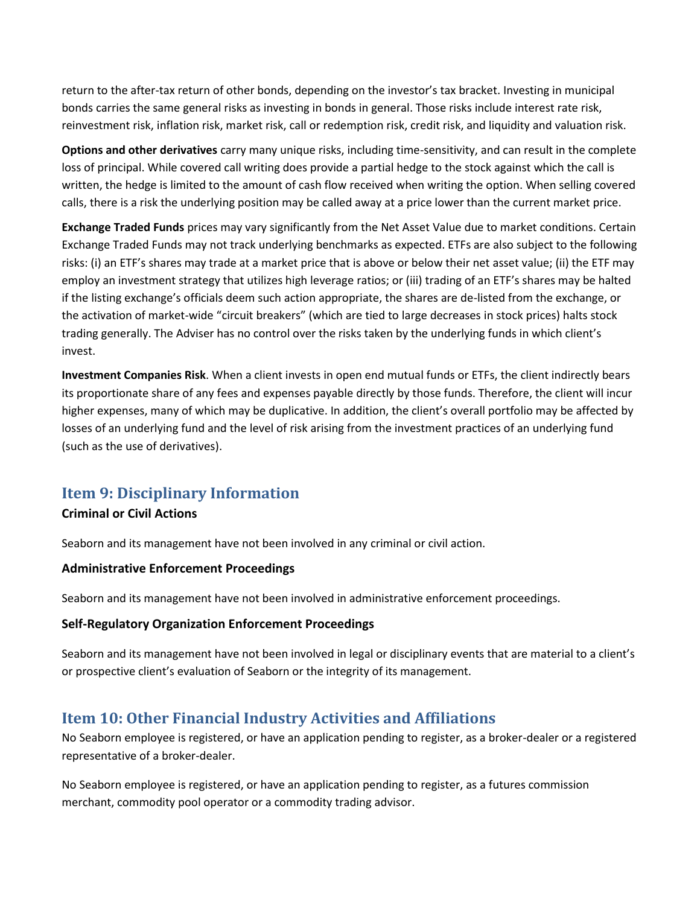return to the after-tax return of other bonds, depending on the investor's tax bracket. Investing in municipal bonds carries the same general risks as investing in bonds in general. Those risks include interest rate risk, reinvestment risk, inflation risk, market risk, call or redemption risk, credit risk, and liquidity and valuation risk.

**Options and other derivatives** carry many unique risks, including time-sensitivity, and can result in the complete loss of principal. While covered call writing does provide a partial hedge to the stock against which the call is written, the hedge is limited to the amount of cash flow received when writing the option. When selling covered calls, there is a risk the underlying position may be called away at a price lower than the current market price.

**Exchange Traded Funds** prices may vary significantly from the Net Asset Value due to market conditions. Certain Exchange Traded Funds may not track underlying benchmarks as expected. ETFs are also subject to the following risks: (i) an ETF's shares may trade at a market price that is above or below their net asset value; (ii) the ETF may employ an investment strategy that utilizes high leverage ratios; or (iii) trading of an ETF's shares may be halted if the listing exchange's officials deem such action appropriate, the shares are de-listed from the exchange, or the activation of market-wide "circuit breakers" (which are tied to large decreases in stock prices) halts stock trading generally. The Adviser has no control over the risks taken by the underlying funds in which client's invest.

**Investment Companies Risk**. When a client invests in open end mutual funds or ETFs, the client indirectly bears its proportionate share of any fees and expenses payable directly by those funds. Therefore, the client will incur higher expenses, many of which may be duplicative. In addition, the client's overall portfolio may be affected by losses of an underlying fund and the level of risk arising from the investment practices of an underlying fund (such as the use of derivatives).

## **Item 9: Disciplinary Information**

#### **Criminal or Civil Actions**

Seaborn and its management have not been involved in any criminal or civil action.

#### **Administrative Enforcement Proceedings**

Seaborn and its management have not been involved in administrative enforcement proceedings.

#### **Self-Regulatory Organization Enforcement Proceedings**

Seaborn and its management have not been involved in legal or disciplinary events that are material to a client's or prospective client's evaluation of Seaborn or the integrity of its management.

## **Item 10: Other Financial Industry Activities and Affiliations**

No Seaborn employee is registered, or have an application pending to register, as a broker-dealer or a registered representative of a broker-dealer.

No Seaborn employee is registered, or have an application pending to register, as a futures commission merchant, commodity pool operator or a commodity trading advisor.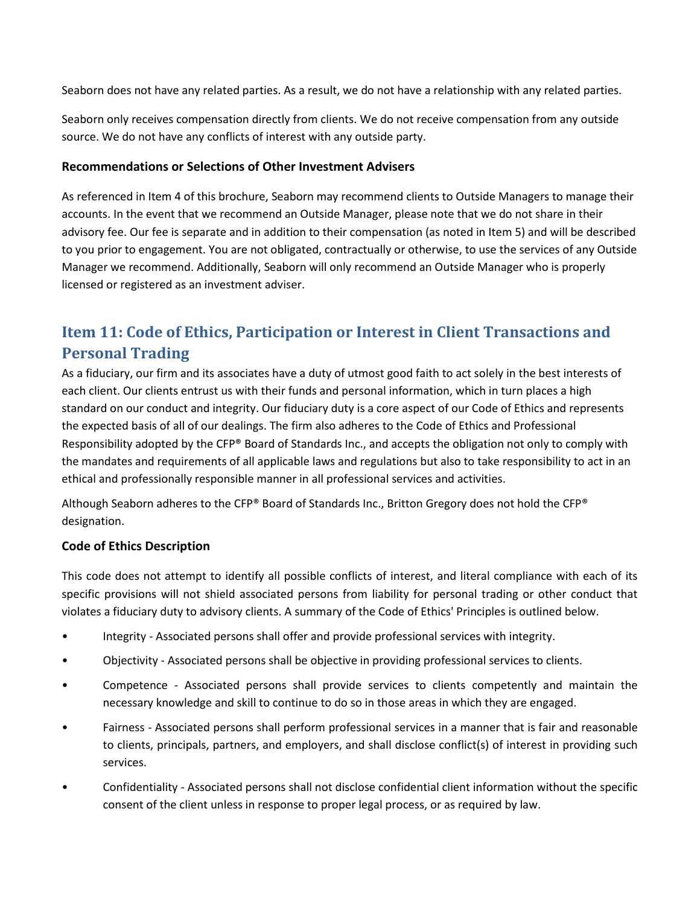Seaborn does not have any related parties. As a result, we do not have a relationship with any related parties.

Seaborn only receives compensation directly from clients. We do not receive compensation from any outside source. We do not have any conflicts of interest with any outside party.

#### **Recommendations or Selections of Other Investment Advisers**

As referenced in Item 4 of this brochure, Seaborn may recommend clients to Outside Managers to manage their accounts. In the event that we recommend an Outside Manager, please note that we do not share in their advisory fee. Our fee is separate and in addition to their compensation (as noted in Item 5) and will be described to you prior to engagement. You are not obligated, contractually or otherwise, to use the services of any Outside Manager we recommend. Additionally, Seaborn will only recommend an Outside Manager who is properly licensed or registered as an investment adviser.

# **Item 11: Code of Ethics, Participation or Interest in Client Transactions and Personal Trading**

As a fiduciary, our firm and its associates have a duty of utmost good faith to act solely in the best interests of each client. Our clients entrust us with their funds and personal information, which in turn places a high standard on our conduct and integrity. Our fiduciary duty is a core aspect of our Code of Ethics and represents the expected basis of all of our dealings. The firm also adheres to the Code of Ethics and Professional Responsibility adopted by the CFP® Board of Standards Inc., and accepts the obligation not only to comply with the mandates and requirements of all applicable laws and regulations but also to take responsibility to act in an ethical and professionally responsible manner in all professional services and activities.

Although Seaborn adheres to the CFP® Board of Standards Inc., Britton Gregory does not hold the CFP® designation.

#### **Code of Ethics Description**

This code does not attempt to identify all possible conflicts of interest, and literal compliance with each of its specific provisions will not shield associated persons from liability for personal trading or other conduct that violates a fiduciary duty to advisory clients. A summary of the Code of Ethics' Principles is outlined below.

- Integrity Associated persons shall offer and provide professional services with integrity.
- Objectivity Associated persons shall be objective in providing professional services to clients.
- Competence Associated persons shall provide services to clients competently and maintain the necessary knowledge and skill to continue to do so in those areas in which they are engaged.
- Fairness Associated persons shall perform professional services in a manner that is fair and reasonable to clients, principals, partners, and employers, and shall disclose conflict(s) of interest in providing such services.
- Confidentiality Associated persons shall not disclose confidential client information without the specific consent of the client unless in response to proper legal process, or as required by law.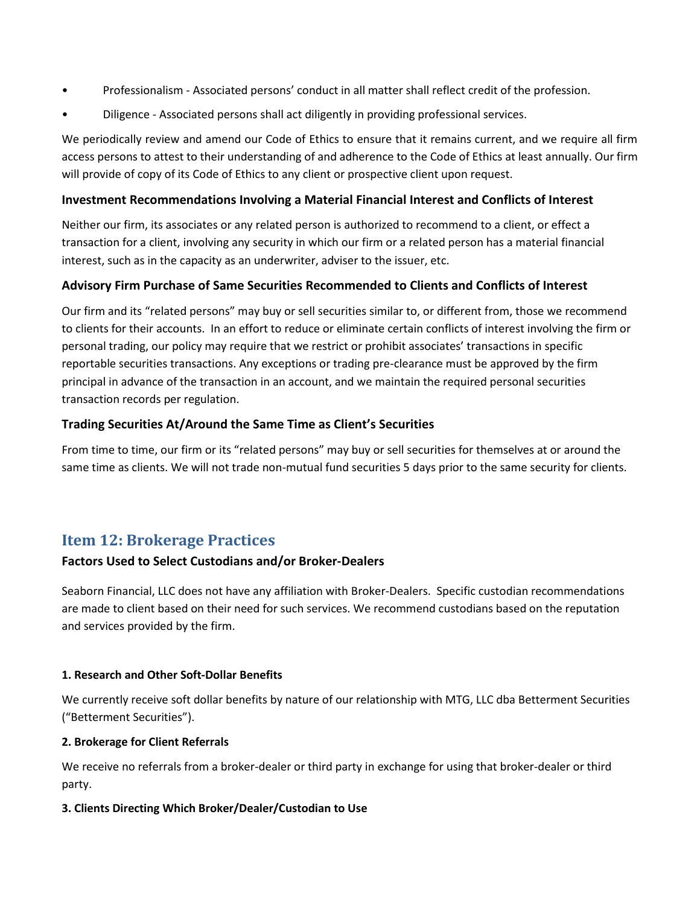- Professionalism Associated persons' conduct in all matter shall reflect credit of the profession.
- Diligence Associated persons shall act diligently in providing professional services.

We periodically review and amend our Code of Ethics to ensure that it remains current, and we require all firm access persons to attest to their understanding of and adherence to the Code of Ethics at least annually. Our firm will provide of copy of its Code of Ethics to any client or prospective client upon request.

#### **Investment Recommendations Involving a Material Financial Interest and Conflicts of Interest**

Neither our firm, its associates or any related person is authorized to recommend to a client, or effect a transaction for a client, involving any security in which our firm or a related person has a material financial interest, such as in the capacity as an underwriter, adviser to the issuer, etc.

#### **Advisory Firm Purchase of Same Securities Recommended to Clients and Conflicts of Interest**

Our firm and its "related persons" may buy or sell securities similar to, or different from, those we recommend to clients for their accounts. In an effort to reduce or eliminate certain conflicts of interest involving the firm or personal trading, our policy may require that we restrict or prohibit associates' transactions in specific reportable securities transactions. Any exceptions or trading pre-clearance must be approved by the firm principal in advance of the transaction in an account, and we maintain the required personal securities transaction records per regulation.

#### **Trading Securities At/Around the Same Time as Client's Securities**

From time to time, our firm or its "related persons" may buy or sell securities for themselves at or around the same time as clients. We will not trade non-mutual fund securities 5 days prior to the same security for clients.

## **Item 12: Brokerage Practices**

#### **Factors Used to Select Custodians and/or Broker-Dealers**

Seaborn Financial, LLC does not have any affiliation with Broker-Dealers. Specific custodian recommendations are made to client based on their need for such services. We recommend custodians based on the reputation and services provided by the firm.

#### **1. Research and Other Soft-Dollar Benefits**

We currently receive soft dollar benefits by nature of our relationship with MTG, LLC dba Betterment Securities ("Betterment Securities").

#### **2. Brokerage for Client Referrals**

We receive no referrals from a broker-dealer or third party in exchange for using that broker-dealer or third party.

#### **3. Clients Directing Which Broker/Dealer/Custodian to Use**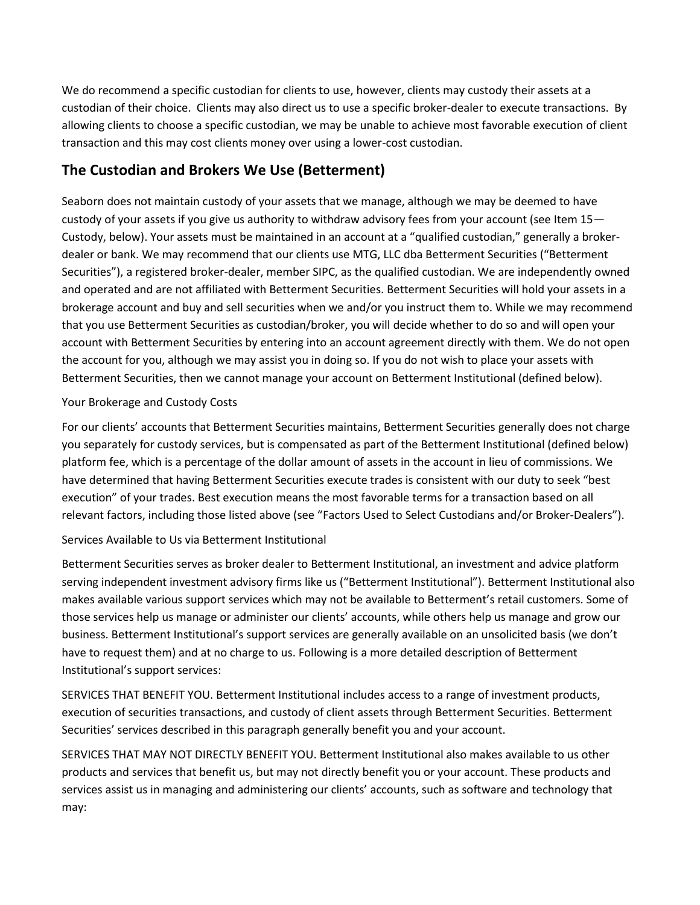We do recommend a specific custodian for clients to use, however, clients may custody their assets at a custodian of their choice. Clients may also direct us to use a specific broker-dealer to execute transactions. By allowing clients to choose a specific custodian, we may be unable to achieve most favorable execution of client transaction and this may cost clients money over using a lower-cost custodian.

# **The Custodian and Brokers We Use (Betterment)**

Seaborn does not maintain custody of your assets that we manage, although we may be deemed to have custody of your assets if you give us authority to withdraw advisory fees from your account (see Item 15— Custody, below). Your assets must be maintained in an account at a "qualified custodian," generally a brokerdealer or bank. We may recommend that our clients use MTG, LLC dba Betterment Securities ("Betterment Securities"), a registered broker-dealer, member SIPC, as the qualified custodian. We are independently owned and operated and are not affiliated with Betterment Securities. Betterment Securities will hold your assets in a brokerage account and buy and sell securities when we and/or you instruct them to. While we may recommend that you use Betterment Securities as custodian/broker, you will decide whether to do so and will open your account with Betterment Securities by entering into an account agreement directly with them. We do not open the account for you, although we may assist you in doing so. If you do not wish to place your assets with Betterment Securities, then we cannot manage your account on Betterment Institutional (defined below).

#### Your Brokerage and Custody Costs

For our clients' accounts that Betterment Securities maintains, Betterment Securities generally does not charge you separately for custody services, but is compensated as part of the Betterment Institutional (defined below) platform fee, which is a percentage of the dollar amount of assets in the account in lieu of commissions. We have determined that having Betterment Securities execute trades is consistent with our duty to seek "best execution" of your trades. Best execution means the most favorable terms for a transaction based on all relevant factors, including those listed above (see "Factors Used to Select Custodians and/or Broker-Dealers").

#### Services Available to Us via Betterment Institutional

Betterment Securities serves as broker dealer to Betterment Institutional, an investment and advice platform serving independent investment advisory firms like us ("Betterment Institutional"). Betterment Institutional also makes available various support services which may not be available to Betterment's retail customers. Some of those services help us manage or administer our clients' accounts, while others help us manage and grow our business. Betterment Institutional's support services are generally available on an unsolicited basis (we don't have to request them) and at no charge to us. Following is a more detailed description of Betterment Institutional's support services:

SERVICES THAT BENEFIT YOU. Betterment Institutional includes access to a range of investment products, execution of securities transactions, and custody of client assets through Betterment Securities. Betterment Securities' services described in this paragraph generally benefit you and your account.

SERVICES THAT MAY NOT DIRECTLY BENEFIT YOU. Betterment Institutional also makes available to us other products and services that benefit us, but may not directly benefit you or your account. These products and services assist us in managing and administering our clients' accounts, such as software and technology that may: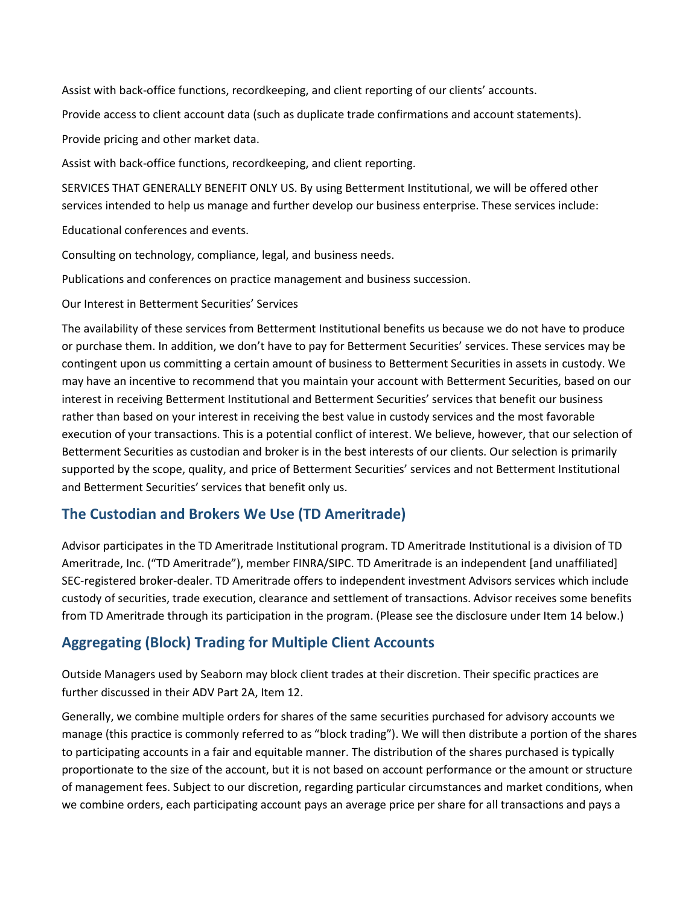Assist with back-office functions, recordkeeping, and client reporting of our clients' accounts.

Provide access to client account data (such as duplicate trade confirmations and account statements).

Provide pricing and other market data.

Assist with back-office functions, recordkeeping, and client reporting.

SERVICES THAT GENERALLY BENEFIT ONLY US. By using Betterment Institutional, we will be offered other services intended to help us manage and further develop our business enterprise. These services include:

Educational conferences and events.

Consulting on technology, compliance, legal, and business needs.

Publications and conferences on practice management and business succession.

Our Interest in Betterment Securities' Services

The availability of these services from Betterment Institutional benefits us because we do not have to produce or purchase them. In addition, we don't have to pay for Betterment Securities' services. These services may be contingent upon us committing a certain amount of business to Betterment Securities in assets in custody. We may have an incentive to recommend that you maintain your account with Betterment Securities, based on our interest in receiving Betterment Institutional and Betterment Securities' services that benefit our business rather than based on your interest in receiving the best value in custody services and the most favorable execution of your transactions. This is a potential conflict of interest. We believe, however, that our selection of Betterment Securities as custodian and broker is in the best interests of our clients. Our selection is primarily supported by the scope, quality, and price of Betterment Securities' services and not Betterment Institutional and Betterment Securities' services that benefit only us.

# **The Custodian and Brokers We Use (TD Ameritrade)**

Advisor participates in the TD Ameritrade Institutional program. TD Ameritrade Institutional is a division of TD Ameritrade, Inc. ("TD Ameritrade"), member FINRA/SIPC. TD Ameritrade is an independent [and unaffiliated] SEC-registered broker-dealer. TD Ameritrade offers to independent investment Advisors services which include custody of securities, trade execution, clearance and settlement of transactions. Advisor receives some benefits from TD Ameritrade through its participation in the program. (Please see the disclosure under Item 14 below.)

## **Aggregating (Block) Trading for Multiple Client Accounts**

Outside Managers used by Seaborn may block client trades at their discretion. Their specific practices are further discussed in their ADV Part 2A, Item 12.

Generally, we combine multiple orders for shares of the same securities purchased for advisory accounts we manage (this practice is commonly referred to as "block trading"). We will then distribute a portion of the shares to participating accounts in a fair and equitable manner. The distribution of the shares purchased is typically proportionate to the size of the account, but it is not based on account performance or the amount or structure of management fees. Subject to our discretion, regarding particular circumstances and market conditions, when we combine orders, each participating account pays an average price per share for all transactions and pays a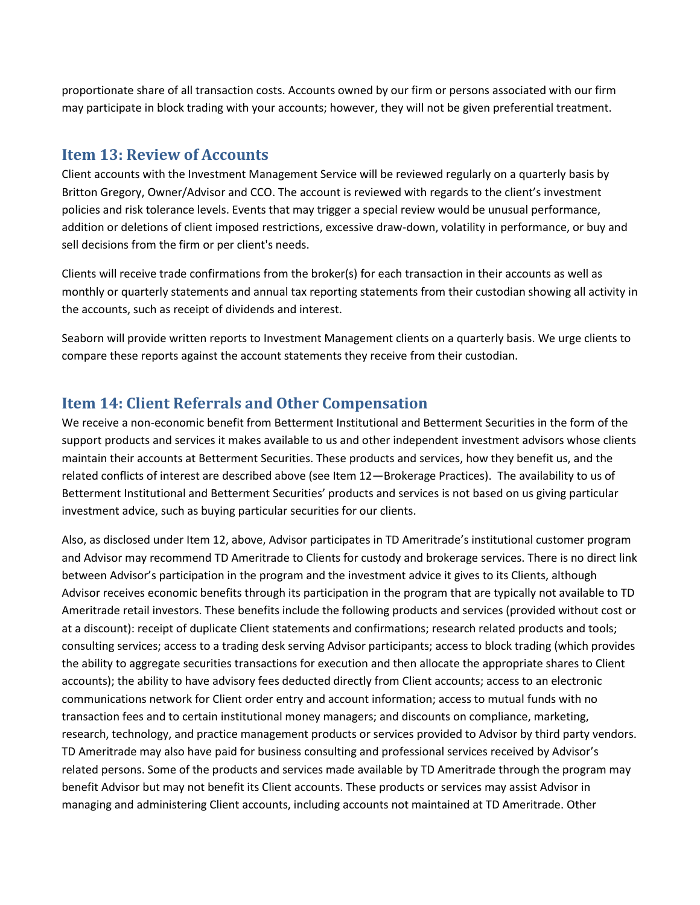proportionate share of all transaction costs. Accounts owned by our firm or persons associated with our firm may participate in block trading with your accounts; however, they will not be given preferential treatment.

### **Item 13: Review of Accounts**

Client accounts with the Investment Management Service will be reviewed regularly on a quarterly basis by Britton Gregory, Owner/Advisor and CCO. The account is reviewed with regards to the client's investment policies and risk tolerance levels. Events that may trigger a special review would be unusual performance, addition or deletions of client imposed restrictions, excessive draw-down, volatility in performance, or buy and sell decisions from the firm or per client's needs.

Clients will receive trade confirmations from the broker(s) for each transaction in their accounts as well as monthly or quarterly statements and annual tax reporting statements from their custodian showing all activity in the accounts, such as receipt of dividends and interest.

Seaborn will provide written reports to Investment Management clients on a quarterly basis. We urge clients to compare these reports against the account statements they receive from their custodian.

# **Item 14: Client Referrals and Other Compensation**

We receive a non-economic benefit from Betterment Institutional and Betterment Securities in the form of the support products and services it makes available to us and other independent investment advisors whose clients maintain their accounts at Betterment Securities. These products and services, how they benefit us, and the related conflicts of interest are described above (see Item 12—Brokerage Practices). The availability to us of Betterment Institutional and Betterment Securities' products and services is not based on us giving particular investment advice, such as buying particular securities for our clients.

Also, as disclosed under Item 12, above, Advisor participates in TD Ameritrade's institutional customer program and Advisor may recommend TD Ameritrade to Clients for custody and brokerage services. There is no direct link between Advisor's participation in the program and the investment advice it gives to its Clients, although Advisor receives economic benefits through its participation in the program that are typically not available to TD Ameritrade retail investors. These benefits include the following products and services (provided without cost or at a discount): receipt of duplicate Client statements and confirmations; research related products and tools; consulting services; access to a trading desk serving Advisor participants; access to block trading (which provides the ability to aggregate securities transactions for execution and then allocate the appropriate shares to Client accounts); the ability to have advisory fees deducted directly from Client accounts; access to an electronic communications network for Client order entry and account information; access to mutual funds with no transaction fees and to certain institutional money managers; and discounts on compliance, marketing, research, technology, and practice management products or services provided to Advisor by third party vendors. TD Ameritrade may also have paid for business consulting and professional services received by Advisor's related persons. Some of the products and services made available by TD Ameritrade through the program may benefit Advisor but may not benefit its Client accounts. These products or services may assist Advisor in managing and administering Client accounts, including accounts not maintained at TD Ameritrade. Other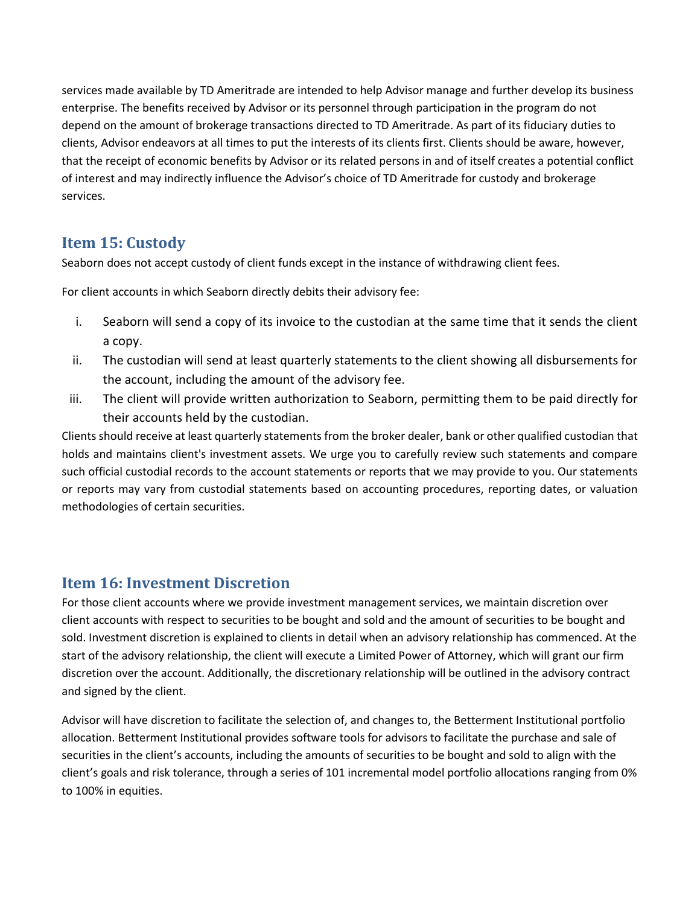services made available by TD Ameritrade are intended to help Advisor manage and further develop its business enterprise. The benefits received by Advisor or its personnel through participation in the program do not depend on the amount of brokerage transactions directed to TD Ameritrade. As part of its fiduciary duties to clients, Advisor endeavors at all times to put the interests of its clients first. Clients should be aware, however, that the receipt of economic benefits by Advisor or its related persons in and of itself creates a potential conflict of interest and may indirectly influence the Advisor's choice of TD Ameritrade for custody and brokerage services.

# **Item 15: Custody**

Seaborn does not accept custody of client funds except in the instance of withdrawing client fees.

For client accounts in which Seaborn directly debits their advisory fee:

- i. Seaborn will send a copy of its invoice to the custodian at the same time that it sends the client a copy.
- ii. The custodian will send at least quarterly statements to the client showing all disbursements for the account, including the amount of the advisory fee.
- iii. The client will provide written authorization to Seaborn, permitting them to be paid directly for their accounts held by the custodian.

Clients should receive at least quarterly statements from the broker dealer, bank or other qualified custodian that holds and maintains client's investment assets. We urge you to carefully review such statements and compare such official custodial records to the account statements or reports that we may provide to you. Our statements or reports may vary from custodial statements based on accounting procedures, reporting dates, or valuation methodologies of certain securities.

# **Item 16: Investment Discretion**

For those client accounts where we provide investment management services, we maintain discretion over client accounts with respect to securities to be bought and sold and the amount of securities to be bought and sold. Investment discretion is explained to clients in detail when an advisory relationship has commenced. At the start of the advisory relationship, the client will execute a Limited Power of Attorney, which will grant our firm discretion over the account. Additionally, the discretionary relationship will be outlined in the advisory contract and signed by the client.

Advisor will have discretion to facilitate the selection of, and changes to, the Betterment Institutional portfolio allocation. Betterment Institutional provides software tools for advisors to facilitate the purchase and sale of securities in the client's accounts, including the amounts of securities to be bought and sold to align with the client's goals and risk tolerance, through a series of 101 incremental model portfolio allocations ranging from 0% to 100% in equities.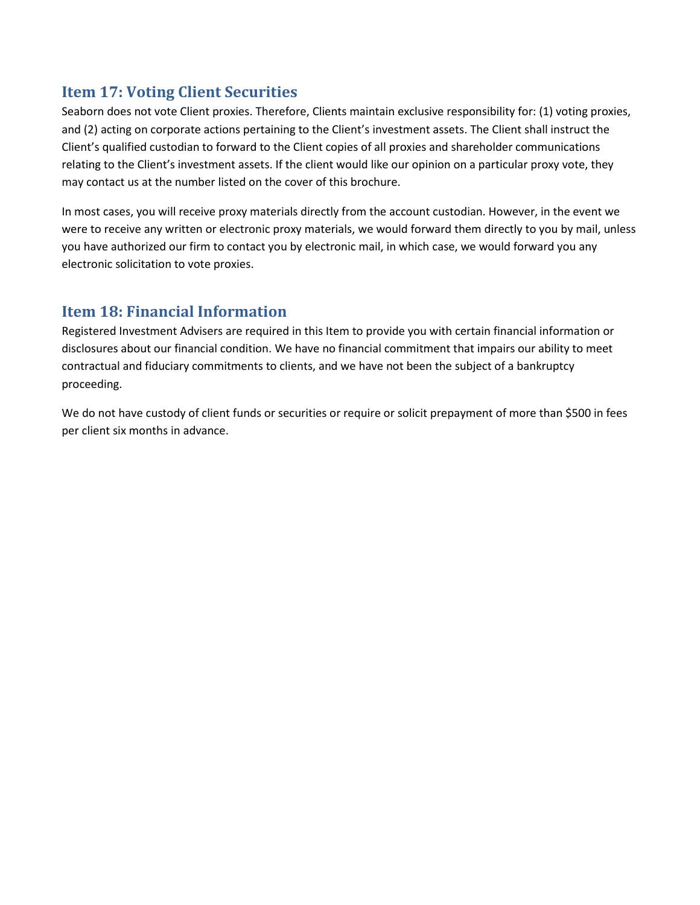# **Item 17: Voting Client Securities**

Seaborn does not vote Client proxies. Therefore, Clients maintain exclusive responsibility for: (1) voting proxies, and (2) acting on corporate actions pertaining to the Client's investment assets. The Client shall instruct the Client's qualified custodian to forward to the Client copies of all proxies and shareholder communications relating to the Client's investment assets. If the client would like our opinion on a particular proxy vote, they may contact us at the number listed on the cover of this brochure.

In most cases, you will receive proxy materials directly from the account custodian. However, in the event we were to receive any written or electronic proxy materials, we would forward them directly to you by mail, unless you have authorized our firm to contact you by electronic mail, in which case, we would forward you any electronic solicitation to vote proxies.

# **Item 18: Financial Information**

Registered Investment Advisers are required in this Item to provide you with certain financial information or disclosures about our financial condition. We have no financial commitment that impairs our ability to meet contractual and fiduciary commitments to clients, and we have not been the subject of a bankruptcy proceeding.

We do not have custody of client funds or securities or require or solicit prepayment of more than \$500 in fees per client six months in advance.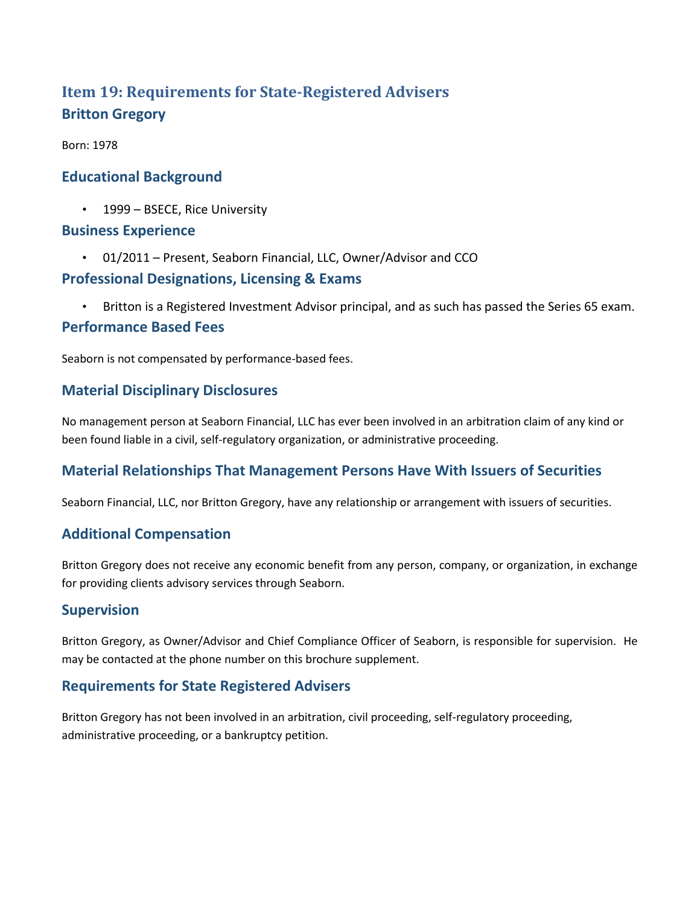# **Item 19: Requirements for State-Registered Advisers Britton Gregory**

Born: 1978

## **Educational Background**

• 1999 – BSECE, Rice University

#### **Business Experience**

• 01/2011 – Present, Seaborn Financial, LLC, Owner/Advisor and CCO

### **Professional Designations, Licensing & Exams**

• Britton is a Registered Investment Advisor principal, and as such has passed the Series 65 exam.

#### **Performance Based Fees**

Seaborn is not compensated by performance-based fees.

## **Material Disciplinary Disclosures**

No management person at Seaborn Financial, LLC has ever been involved in an arbitration claim of any kind or been found liable in a civil, self-regulatory organization, or administrative proceeding.

## **Material Relationships That Management Persons Have With Issuers of Securities**

Seaborn Financial, LLC, nor Britton Gregory, have any relationship or arrangement with issuers of securities.

#### **Additional Compensation**

Britton Gregory does not receive any economic benefit from any person, company, or organization, in exchange for providing clients advisory services through Seaborn.

#### **Supervision**

Britton Gregory, as Owner/Advisor and Chief Compliance Officer of Seaborn, is responsible for supervision. He may be contacted at the phone number on this brochure supplement.

## **Requirements for State Registered Advisers**

Britton Gregory has not been involved in an arbitration, civil proceeding, self-regulatory proceeding, administrative proceeding, or a bankruptcy petition.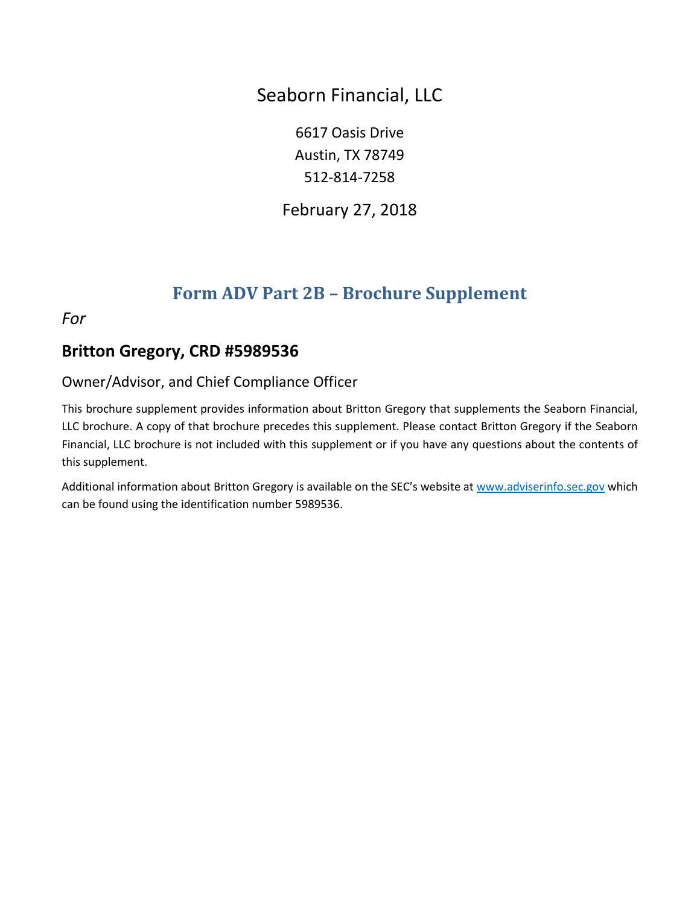Seaborn Financial, LLC

6617 Oasis Drive Austin, TX 78749 512-814-7258

February 27, 2018

# **Form ADV Part 2B – Brochure Supplement**

*For*

# **Britton Gregory, CRD #5989536**

# Owner/Advisor, and Chief Compliance Officer

This brochure supplement provides information about Britton Gregory that supplements the Seaborn Financial, LLC brochure. A copy of that brochure precedes this supplement. Please contact Britton Gregory if the Seaborn Financial, LLC brochure is not included with this supplement or if you have any questions about the contents of this supplement.

Additional information about Britton Gregory is available on the SEC's website at [www.adviserinfo.sec.gov](http://www.adviserinfo.sec.gov/) which can be found using the identification number 5989536.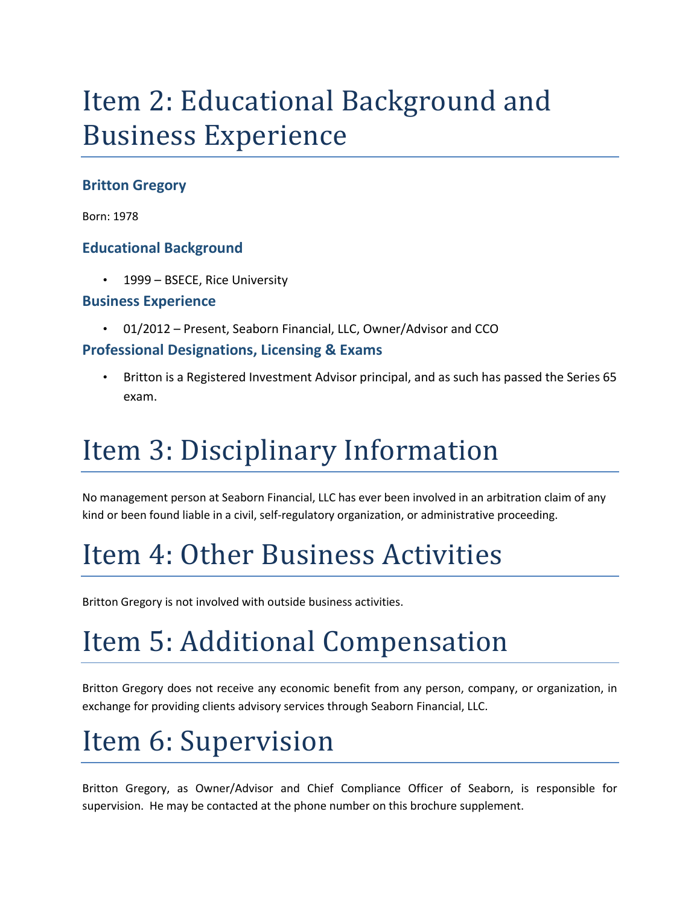# Item 2: Educational Background and Business Experience

# **Britton Gregory**

Born: 1978

## **Educational Background**

1999 – BSECE, Rice University

#### **Business Experience**

• 01/2012 – Present, Seaborn Financial, LLC, Owner/Advisor and CCO

## **Professional Designations, Licensing & Exams**

• Britton is a Registered Investment Advisor principal, and as such has passed the Series 65 exam.

# Item 3: Disciplinary Information

No management person at Seaborn Financial, LLC has ever been involved in an arbitration claim of any kind or been found liable in a civil, self-regulatory organization, or administrative proceeding.

# Item 4: Other Business Activities

Britton Gregory is not involved with outside business activities.

# Item 5: Additional Compensation

Britton Gregory does not receive any economic benefit from any person, company, or organization, in exchange for providing clients advisory services through Seaborn Financial, LLC.

# Item 6: Supervision

Britton Gregory, as Owner/Advisor and Chief Compliance Officer of Seaborn, is responsible for supervision. He may be contacted at the phone number on this brochure supplement.